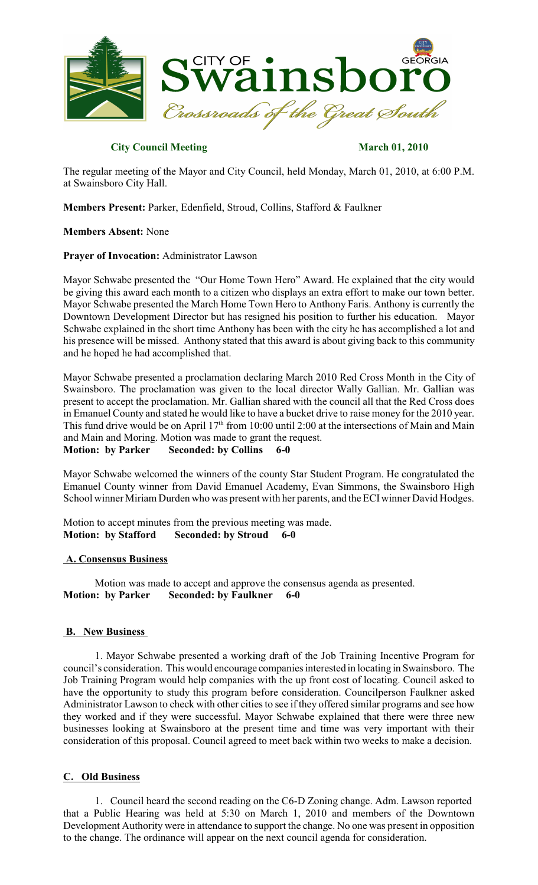

## **City Council Meeting March 01, 2010**

The regular meeting of the Mayor and City Council, held Monday, March 01, 2010, at 6:00 P.M. at Swainsboro City Hall.

**Members Present:** Parker, Edenfield, Stroud, Collins, Stafford & Faulkner

## **Members Absent:** None

## **Prayer of Invocation:** Administrator Lawson

Mayor Schwabe presented the "Our Home Town Hero" Award. He explained that the city would be giving this award each month to a citizen who displays an extra effort to make our town better. Mayor Schwabe presented the March Home Town Hero to Anthony Faris. Anthony is currently the Downtown Development Director but has resigned his position to further his education. Mayor Schwabe explained in the short time Anthony has been with the city he has accomplished a lot and his presence will be missed. Anthony stated that this award is about giving back to this community and he hoped he had accomplished that.

Mayor Schwabe presented a proclamation declaring March 2010 Red Cross Month in the City of Swainsboro. The proclamation was given to the local director Wally Gallian. Mr. Gallian was present to accept the proclamation. Mr. Gallian shared with the council all that the Red Cross does in Emanuel County and stated he would like to have a bucket drive to raise money for the 2010 year. This fund drive would be on April  $17<sup>th</sup>$  from 10:00 until 2:00 at the intersections of Main and Main and Main and Moring. Motion was made to grant the request. **Motion: by Parker Seconded: by Collins 6-0**

Mayor Schwabe welcomed the winners of the county Star Student Program. He congratulated the Emanuel County winner from David Emanuel Academy, Evan Simmons, the Swainsboro High School winner Miriam Durden who was present with her parents, and the ECIwinner David Hodges.

Motion to accept minutes from the previous meeting was made. **Motion: by Stafford Seconded: by Stroud 6-0**

## **A. Consensus Business**

Motion was made to accept and approve the consensus agenda as presented. **Motion: by Parker Seconded: by Faulkner 6-0**

## **B. New Business**

1. Mayor Schwabe presented a working draft of the Job Training Incentive Program for council's consideration. This would encourage companies interested in locating in Swainsboro. The Job Training Program would help companies with the up front cost of locating. Council asked to have the opportunity to study this program before consideration. Councilperson Faulkner asked Administrator Lawson to check with other cities to see if they offered similar programs and see how they worked and if they were successful. Mayor Schwabe explained that there were three new businesses looking at Swainsboro at the present time and time was very important with their consideration of this proposal. Council agreed to meet back within two weeks to make a decision.

## **C. Old Business**

1. Council heard the second reading on the C6-D Zoning change. Adm. Lawson reported that a Public Hearing was held at 5:30 on March 1, 2010 and members of the Downtown Development Authority were in attendance to support the change. No one was present in opposition to the change. The ordinance will appear on the next council agenda for consideration.